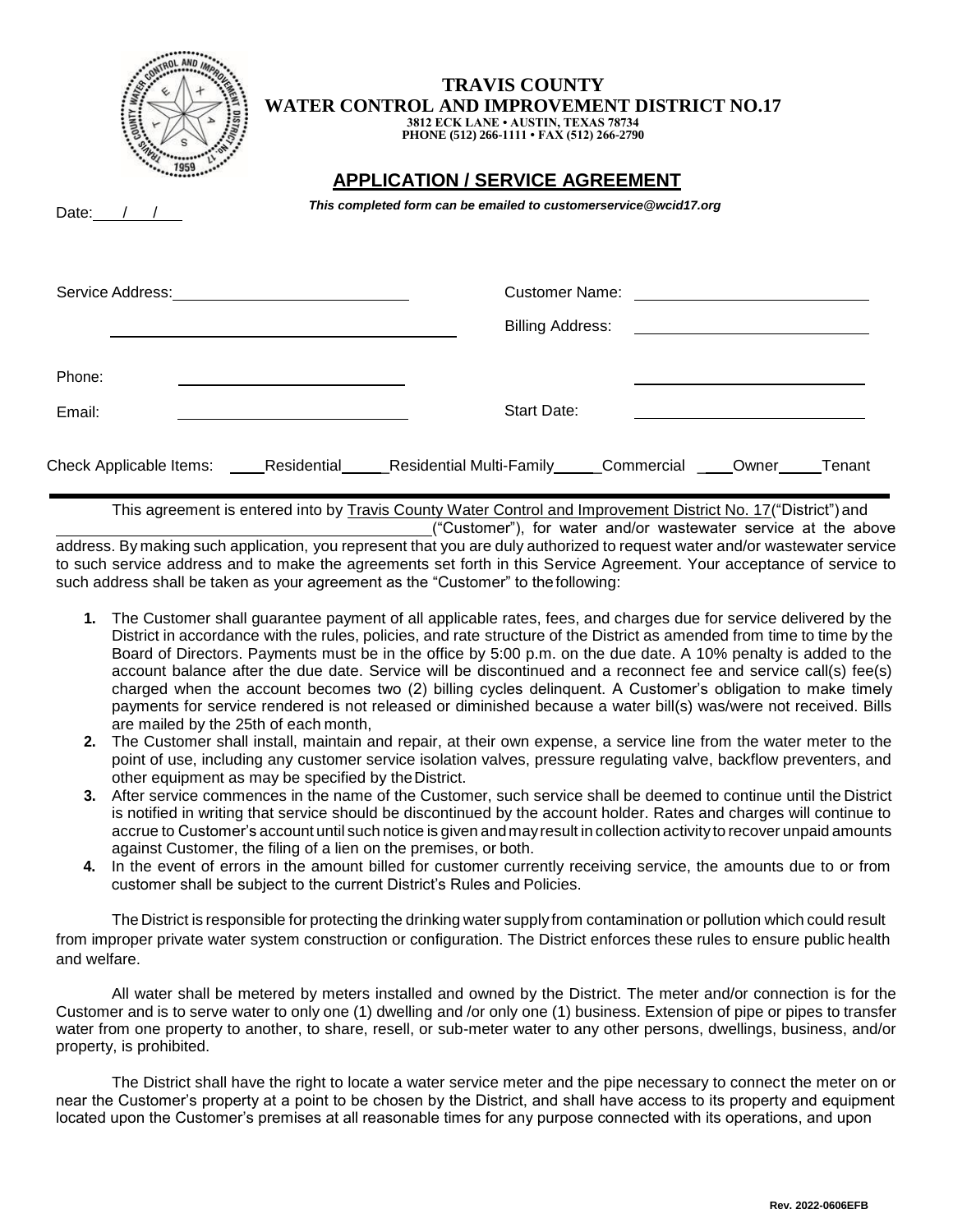|                         | <b>TRAVIS COUNTY</b><br>WATER CONTROL AND IMPROVEMENT DISTRICT NO.17<br>3812 ECK LANE . AUSTIN, TEXAS 78734<br>PHONE (512) 266-1111 • FAX (512) 266-2790                                                                             |                                 |            |                                             |        |
|-------------------------|--------------------------------------------------------------------------------------------------------------------------------------------------------------------------------------------------------------------------------------|---------------------------------|------------|---------------------------------------------|--------|
| Date: $/$ /             | <b>APPLICATION / SERVICE AGREEMENT</b><br>This completed form can be emailed to customerservice@wcid17.org                                                                                                                           |                                 |            |                                             |        |
| Service Address:        | <u>and the state of the state of the state of the state of the state of the state of the state of the state of the state of the state of the state of the state of the state of the state of the state of the state of the state</u> | Customer Name:                  |            |                                             |        |
|                         |                                                                                                                                                                                                                                      | <b>Billing Address:</b>         |            | <u> 1989 - Jan Samuel Barbara, martin a</u> |        |
| Phone:                  |                                                                                                                                                                                                                                      |                                 |            |                                             |        |
| Email:                  |                                                                                                                                                                                                                                      | Start Date:                     |            |                                             |        |
| Check Applicable Items: | Residential                                                                                                                                                                                                                          | <b>Residential Multi-Family</b> | Commercial | Owner                                       | Tenant |

This agreement is entered into by Travis County Water Control and Improvement District No. 17("District") and

("Customer"), for water and/or wastewater service at the above address. By making such application, you represent that you are duly authorized to request water and/or wastewater service to such service address and to make the agreements set forth in this Service Agreement. Your acceptance of service to such address shall be taken as your agreement as the "Customer" to thefollowing:

- **1.** The Customer shall guarantee payment of all applicable rates, fees, and charges due for service delivered by the District in accordance with the rules, policies, and rate structure of the District as amended from time to time by the Board of Directors. Payments must be in the office by 5:00 p.m. on the due date. A 10% penalty is added to the account balance after the due date. Service will be discontinued and a reconnect fee and service call(s) fee(s) charged when the account becomes two (2) billing cycles delinquent. A Customer's obligation to make timely payments for service rendered is not released or diminished because a water bill(s) was/were not received. Bills are mailed by the 25th of each month,
- **2.** The Customer shall install, maintain and repair, at their own expense, a service line from the water meter to the point of use, including any customer service isolation valves, pressure regulating valve, backflow preventers, and other equipment as may be specified by theDistrict.
- **3.** After service commences in the name of the Customer, such service shall be deemed to continue until the District is notified in writing that service should be discontinued by the account holder. Rates and charges will continue to accrue to Customer's account until such notice is given andmayresult in collection activityto recover unpaid amounts against Customer, the filing of a lien on the premises, or both.
- **4.** In the event of errors in the amount billed for customer currently receiving service, the amounts due to or from customer shall be subject to the current District's Rules and Policies.

The District is responsible for protecting the drinking water supply from contamination or pollution which could result from improper private water system construction or configuration. The District enforces these rules to ensure public health and welfare.

All water shall be metered by meters installed and owned by the District. The meter and/or connection is for the Customer and is to serve water to only one (1) dwelling and /or only one (1) business. Extension of pipe or pipes to transfer water from one property to another, to share, resell, or sub-meter water to any other persons, dwellings, business, and/or property, is prohibited.

The District shall have the right to locate a water service meter and the pipe necessary to connect the meter on or near the Customer's property at a point to be chosen by the District, and shall have access to its property and equipment located upon the Customer's premises at all reasonable times for any purpose connected with its operations, and upon